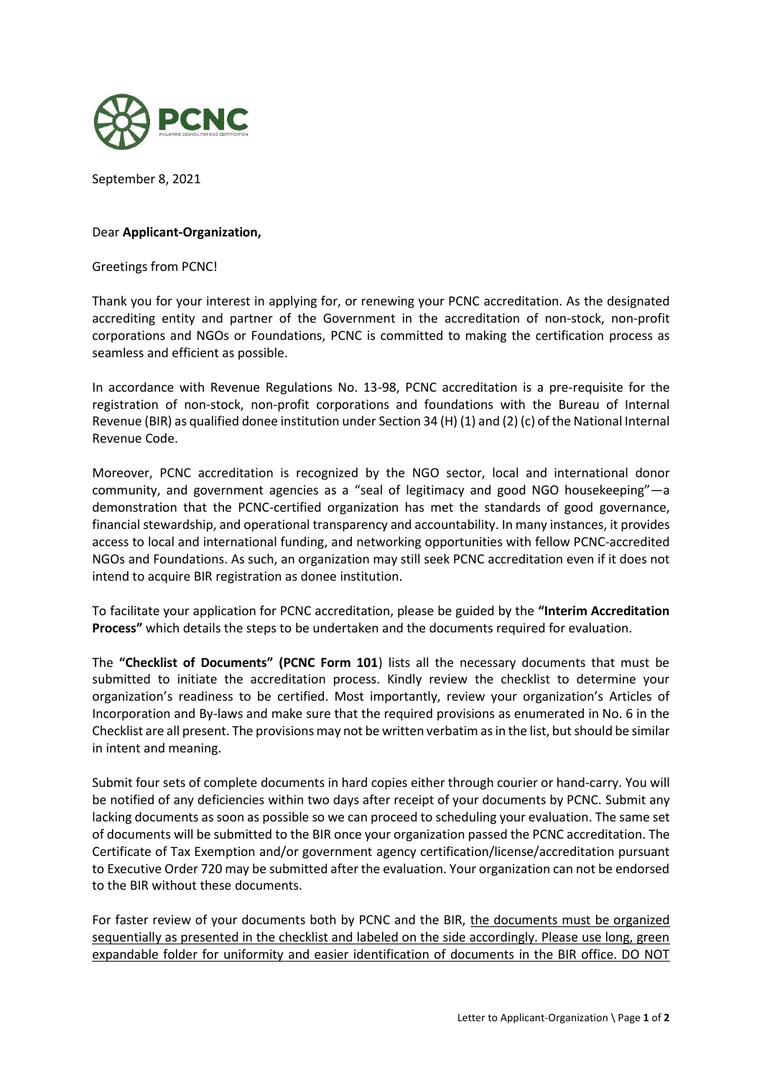

September 8, 2021

## Dear **Applicant-Organization,**

Greetings from PCNC!

Thank you for your interest in applying for, or renewing your PCNC accreditation. As the designated accrediting entity and partner of the Government in the accreditation of non-stock, non-profit corporations and NGOs or Foundations, PCNC is committed to making the certification process as seamless and efficient as possible.

In accordance with Revenue Regulations No. 13-98, PCNC accreditation is a pre-requisite for the registration of non-stock, non-profit corporations and foundations with the Bureau of Internal Revenue (BIR) as qualified donee institution under Section 34 (H) (1) and (2) (c) of the National Internal Revenue Code.

Moreover, PCNC accreditation is recognized by the NGO sector, local and international donor community, and government agencies as a "seal of legitimacy and good NGO housekeeping"—a demonstration that the PCNC-certified organization has met the standards of good governance, financial stewardship, and operational transparency and accountability. In many instances, it provides access to local and international funding, and networking opportunities with fellow PCNC-accredited NGOs and Foundations. As such, an organization may still seek PCNC accreditation even if it does not intend to acquire BIR registration as donee institution.

To facilitate your application for PCNC accreditation, please be guided by the **"Interim Accreditation Process"** which details the steps to be undertaken and the documents required for evaluation.

The **"Checklist of Documents" (PCNC Form 101**) lists all the necessary documents that must be submitted to initiate the accreditation process. Kindly review the checklist to determine your organization's readiness to be certified. Most importantly, review your organization's Articles of Incorporation and By-laws and make sure that the required provisions as enumerated in No. 6 in the Checklist are all present. The provisions may not be written verbatim as in the list, but should be similar in intent and meaning.

Submit four sets of complete documents in hard copies either through courier or hand-carry. You will be notified of any deficiencies within two days after receipt of your documents by PCNC. Submit any lacking documents as soon as possible so we can proceed to scheduling your evaluation. The same set of documents will be submitted to the BIR once your organization passed the PCNC accreditation. The Certificate of Tax Exemption and/or government agency certification/license/accreditation pursuant to Executive Order 720 may be submitted after the evaluation. Your organization can not be endorsed to the BIR without these documents.

For faster review of your documents both by PCNC and the BIR, the documents must be organized sequentially as presented in the checklist and labeled on the side accordingly. Please use long, green expandable folder for uniformity and easier identification of documents in the BIR office. DO NOT